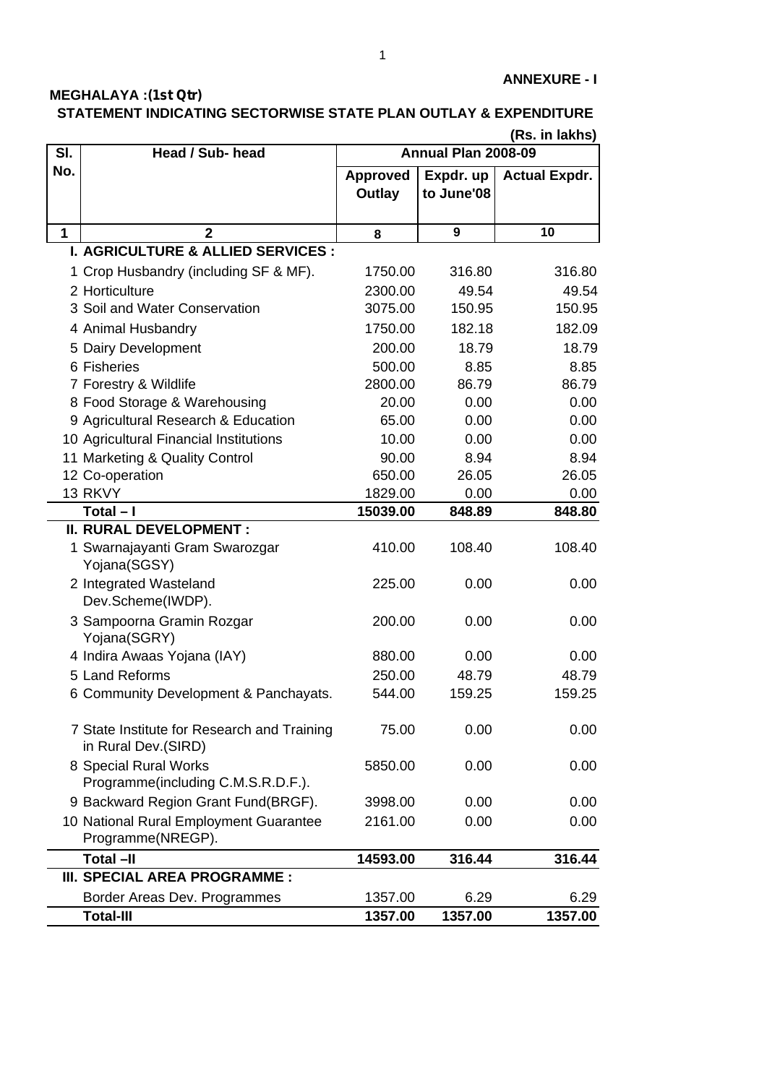## **MEGHALAYA :(1st Qtr) STATEMENT INDICATING SECTORWISE STATE PLAN OUTLAY & EXPENDITURE**

|             | (Rs. in lakhs)                                                     |                     |            |                      |  |
|-------------|--------------------------------------------------------------------|---------------------|------------|----------------------|--|
| SI.         | Head / Sub- head                                                   | Annual Plan 2008-09 |            |                      |  |
| No.         |                                                                    | <b>Approved</b>     | Expdr. up  | <b>Actual Expdr.</b> |  |
|             |                                                                    | Outlay              | to June'08 |                      |  |
|             |                                                                    |                     |            |                      |  |
| $\mathbf 1$ | $\overline{2}$                                                     | 8                   | 9          | 10                   |  |
|             | <b>I. AGRICULTURE &amp; ALLIED SERVICES :</b>                      |                     |            |                      |  |
|             | 1 Crop Husbandry (including SF & MF).                              | 1750.00             | 316.80     | 316.80               |  |
|             | 2 Horticulture                                                     | 2300.00             | 49.54      | 49.54                |  |
|             | 3 Soil and Water Conservation                                      | 3075.00             | 150.95     | 150.95               |  |
|             | 4 Animal Husbandry                                                 | 1750.00             | 182.18     | 182.09               |  |
|             | 5 Dairy Development                                                | 200.00              | 18.79      | 18.79                |  |
|             | 6 Fisheries                                                        | 500.00              | 8.85       | 8.85                 |  |
|             | 7 Forestry & Wildlife                                              | 2800.00             | 86.79      | 86.79                |  |
|             | 8 Food Storage & Warehousing                                       | 20.00               | 0.00       | 0.00                 |  |
|             | 9 Agricultural Research & Education                                | 65.00               | 0.00       | 0.00                 |  |
|             | 10 Agricultural Financial Institutions                             | 10.00               | 0.00       | 0.00                 |  |
|             | 11 Marketing & Quality Control                                     | 90.00               | 8.94       | 8.94                 |  |
|             | 12 Co-operation                                                    | 650.00              | 26.05      | 26.05                |  |
|             | 13 RKVY                                                            | 1829.00             | 0.00       | 0.00                 |  |
|             | $Total - I$                                                        | 15039.00            | 848.89     | 848.80               |  |
|             | <b>II. RURAL DEVELOPMENT:</b>                                      |                     |            |                      |  |
|             | 1 Swarnajayanti Gram Swarozgar<br>Yojana(SGSY)                     | 410.00              | 108.40     | 108.40               |  |
|             | 2 Integrated Wasteland<br>Dev.Scheme(IWDP).                        | 225.00              | 0.00       | 0.00                 |  |
|             | 3 Sampoorna Gramin Rozgar<br>Yojana(SGRY)                          | 200.00              | 0.00       | 0.00                 |  |
|             | 4 Indira Awaas Yojana (IAY)                                        | 880.00              | 0.00       | 0.00                 |  |
|             | 5 Land Reforms                                                     | 250.00              | 48.79      | 48.79                |  |
|             | 6 Community Development & Panchayats.                              | 544.00              | 159.25     | 159.25               |  |
|             | 7 State Institute for Research and Training<br>in Rural Dev.(SIRD) | 75.00               | 0.00       | 0.00                 |  |
|             | 8 Special Rural Works<br>Programme(including C.M.S.R.D.F.).        | 5850.00             | 0.00       | 0.00                 |  |
|             | 9 Backward Region Grant Fund(BRGF).                                | 3998.00             | 0.00       | 0.00                 |  |
|             | 10 National Rural Employment Guarantee                             | 2161.00             | 0.00       | 0.00                 |  |
|             | Programme(NREGP).                                                  |                     |            |                      |  |
|             | <b>Total -II</b>                                                   | 14593.00            | 316.44     | 316.44               |  |
|             | III. SPECIAL AREA PROGRAMME:                                       |                     |            |                      |  |
|             | Border Areas Dev. Programmes                                       | 1357.00             | 6.29       | 6.29                 |  |
|             | <b>Total-III</b>                                                   | 1357.00             | 1357.00    | 1357.00              |  |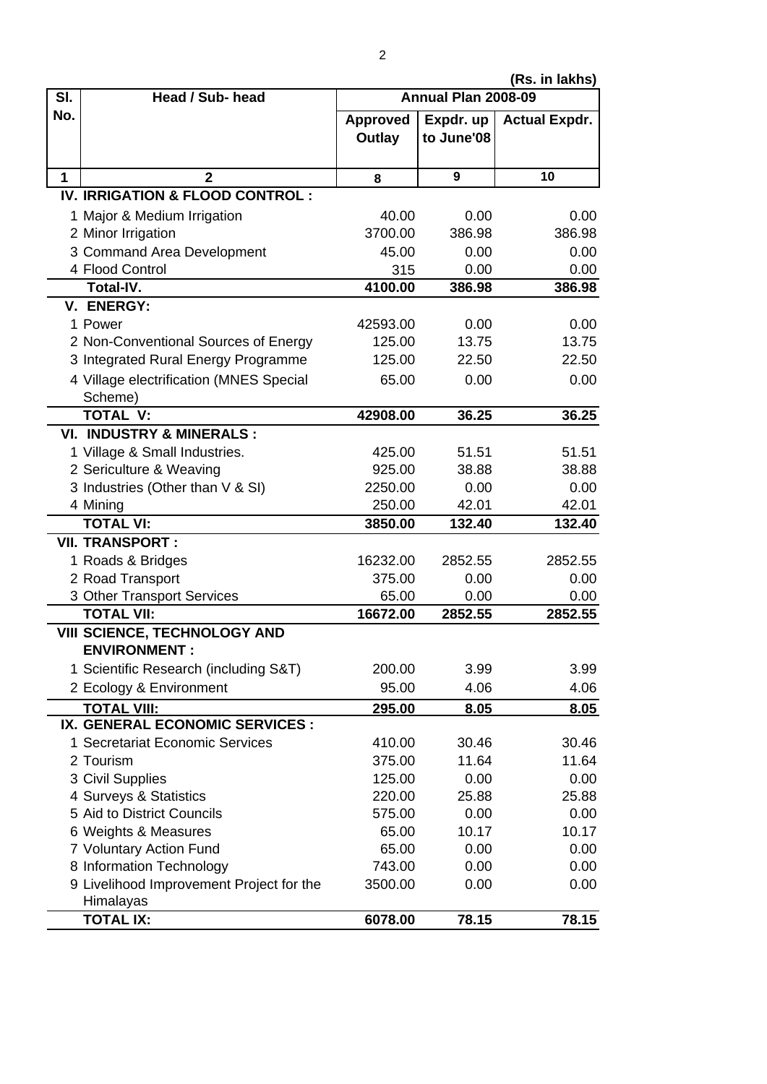**(Rs. in lakhs)**

| SI. | Head / Sub- head                                    | וטווווווווווווווווווווווון<br>Annual Plan 2008-09 |            |                      |  |
|-----|-----------------------------------------------------|---------------------------------------------------|------------|----------------------|--|
| No. |                                                     | <b>Approved</b>                                   | Expdr. up  | <b>Actual Expdr.</b> |  |
|     |                                                     | Outlay                                            | to June'08 |                      |  |
| 1   | $\overline{2}$                                      | 8                                                 | 9          | 10                   |  |
|     | IV. IRRIGATION & FLOOD CONTROL:                     |                                                   |            |                      |  |
|     | 1 Major & Medium Irrigation                         | 40.00                                             | 0.00       | 0.00                 |  |
|     | 2 Minor Irrigation                                  | 3700.00                                           | 386.98     | 386.98               |  |
|     | 3 Command Area Development                          | 45.00                                             | 0.00       | 0.00                 |  |
|     | 4 Flood Control                                     | 315                                               | 0.00       | 0.00                 |  |
|     | <b>Total-IV.</b>                                    | 4100.00                                           | 386.98     | 386.98               |  |
|     | V. ENERGY:                                          |                                                   |            |                      |  |
|     | 1 Power                                             | 42593.00                                          | 0.00       | 0.00                 |  |
|     | 2 Non-Conventional Sources of Energy                | 125.00                                            | 13.75      | 13.75                |  |
|     | 3 Integrated Rural Energy Programme                 | 125.00                                            | 22.50      | 22.50                |  |
|     | 4 Village electrification (MNES Special             | 65.00                                             | 0.00       | 0.00                 |  |
|     | Scheme)                                             |                                                   |            |                      |  |
|     | <b>TOTAL V:</b>                                     | 42908.00                                          | 36.25      | 36.25                |  |
|     | <b>VI. INDUSTRY &amp; MINERALS:</b>                 |                                                   |            |                      |  |
|     | 1 Village & Small Industries.                       | 425.00                                            | 51.51      | 51.51                |  |
|     | 2 Sericulture & Weaving                             | 925.00                                            | 38.88      | 38.88                |  |
|     | 3 Industries (Other than V & SI)                    | 2250.00                                           | 0.00       | 0.00                 |  |
|     | 4 Mining                                            | 250.00                                            | 42.01      | 42.01                |  |
|     | <b>TOTAL VI:</b>                                    | 3850.00                                           | 132.40     | 132.40               |  |
|     | <b>VII. TRANSPORT:</b>                              |                                                   |            |                      |  |
|     | 1 Roads & Bridges                                   | 16232.00                                          | 2852.55    | 2852.55              |  |
|     | 2 Road Transport                                    | 375.00                                            | 0.00       | 0.00                 |  |
|     | 3 Other Transport Services                          | 65.00                                             | 0.00       | 0.00                 |  |
|     | <b>TOTAL VII:</b>                                   | 16672.00                                          | 2852.55    | 2852.55              |  |
|     | VIII SCIENCE, TECHNOLOGY AND<br><b>ENVIRONMENT:</b> |                                                   |            |                      |  |
|     | 1 Scientific Research (including S&T)               | 200.00                                            | 3.99       | 3.99                 |  |
|     | 2 Ecology & Environment                             | 95.00                                             | 4.06       | 4.06                 |  |
|     | <b>TOTAL VIII:</b>                                  | 295.00                                            | 8.05       | 8.05                 |  |
|     | IX. GENERAL ECONOMIC SERVICES :                     |                                                   |            |                      |  |
|     | 1 Secretariat Economic Services                     | 410.00                                            | 30.46      | 30.46                |  |
|     | 2 Tourism                                           | 375.00                                            | 11.64      | 11.64                |  |
|     | 3 Civil Supplies                                    | 125.00                                            | 0.00       | 0.00                 |  |
|     | 4 Surveys & Statistics                              | 220.00                                            | 25.88      | 25.88                |  |
|     | 5 Aid to District Councils                          | 575.00                                            | 0.00       | 0.00                 |  |
|     | 6 Weights & Measures                                | 65.00                                             | 10.17      | 10.17                |  |
|     | 7 Voluntary Action Fund                             | 65.00                                             | 0.00       | 0.00                 |  |
|     | 8 Information Technology                            | 743.00                                            | 0.00       | 0.00                 |  |
|     | 9 Livelihood Improvement Project for the            | 3500.00                                           | 0.00       | 0.00                 |  |
|     | Himalayas                                           |                                                   |            |                      |  |
|     | <b>TOTAL IX:</b>                                    | 6078.00                                           | 78.15      | 78.15                |  |